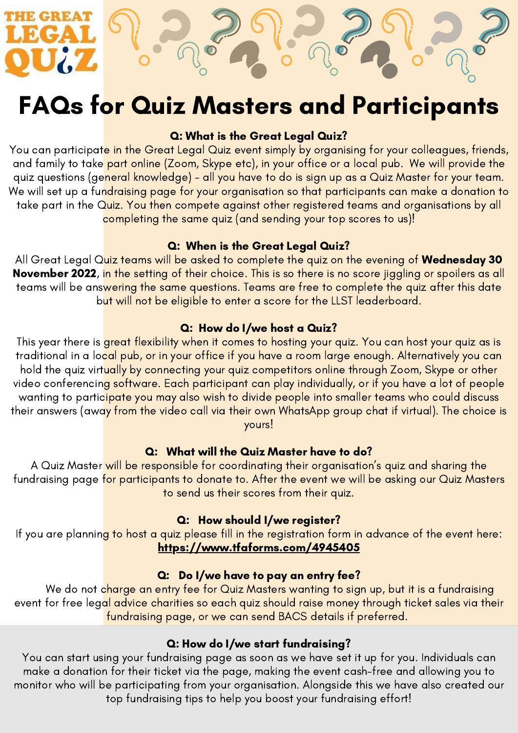# FAQs for Quiz Masters and Participants

#### Q: What is the Great Legal Quiz?

You can participate in the Great Legal Quiz event simply by organising for your colleagues, friends, and family to take part online (Zoom, Skype etc), in your office or a local pub. We will provide the quiz questions (general knowledge) - all you have to do is sign up as a Quiz Master for your team. We will set up a fundraising page for your organisation so that participants can make a donation to take part in the Quiz. You then compete against other registered teams and organisations by all completing the same quiz (and sending your top scores to us)!

#### Q: When is the Great Legal Quiz?

All Great Legal Quiz teams will be asked to complete the quiz on the evening of Wednesday 30 November 2022, in the setting of their choice. This is so there is no score jiggling or spoilers as all teams will be answering the same questions. Teams are free to complete the quiz after this date but will not be eligible to enter a score for the LLST leaderboard.

#### Q: How do I/we host a Quiz?

This year there is great flexibility when it comes to hosting your quiz. You can host your quiz as is traditional in a local pub, or in your office if you have a room large enough. Alternatively you can hold the quiz virtually by connecting your quiz competitors online through Zoom, Skype or other video conferencing software. Each participant can play individually, or if you have a lot of people wanting to participate you may also wish to divide people into smaller teams who could discuss their answers (away from the video call via their own WhatsApp group chat if virtual). The choice is yours!

#### Q: What will the Quiz Master have to do?

A Quiz Master will be responsible for coordinating their organisation's quiz and sharing the fundraising page for participants to donate to. After the event we will be asking our Quiz Masters to send us their scores from their quiz.

#### Q: How should I/we register?

If you are planning to host a quiz please fill in the registration form in advance of the event here: https://www.tfaforms.com/4945405

#### Q: Do I/we have to pay an entry fee?

We do not charge an entry fee for Quiz Masters wanting to sign up, but it is a fundraising event for free legal advice charities so each quiz should raise money through ticket sales via their fundraising page, or we can send BACS details if preferred.

#### Q: How do I/we start fundraising?

You can start using your fundraising page as soon as we have set it up for you. Individuals can make a donation for their ticket via the page, making the event cash-free and allowing you to monitor who will be participating from your organisation. Alongside this we have also created our top fundraising tips to help you boost your fundraising effort!